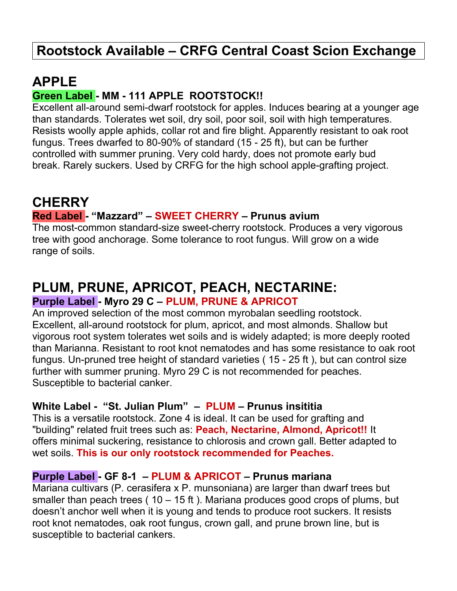## **Rootstock Available – CRFG Central Coast Scion Exchange**

### **APPLE**

#### **Green Label - MM - 111 APPLE ROOTSTOCK!!**

Excellent all-around semi-dwarf rootstock for apples. Induces bearing at a younger age than standards. Tolerates wet soil, dry soil, poor soil, soil with high temperatures. Resists woolly apple aphids, collar rot and fire blight. Apparently resistant to oak root fungus. Trees dwarfed to 80-90% of standard (15 - 25 ft), but can be further controlled with summer pruning. Very cold hardy, does not promote early bud break. Rarely suckers. Used by CRFG for the high school apple-grafting project.

### **CHERRY**

#### **Red Label - "Mazzard" – SWEET CHERRY – Prunus avium**

The most-common standard-size sweet-cherry rootstock. Produces a very vigorous tree with good anchorage. Some tolerance to root fungus. Will grow on a wide range of soils.

## **PLUM, PRUNE, APRICOT, PEACH, NECTARINE:**

#### **Purple Label - Myro 29 C – PLUM, PRUNE & APRICOT**

An improved selection of the most common myrobalan seedling rootstock. Excellent, all-around rootstock for plum, apricot, and most almonds. Shallow but vigorous root system tolerates wet soils and is widely adapted; is more deeply rooted than Marianna. Resistant to root knot nematodes and has some resistance to oak root fungus. Un-pruned tree height of standard varieties ( 15 - 25 ft ), but can control size further with summer pruning. Myro 29 C is not recommended for peaches. Susceptible to bacterial canker.

#### **White Label - "St. Julian Plum" – PLUM – Prunus insititia**

This is a versatile rootstock. Zone 4 is ideal. It can be used for grafting and "building" related fruit trees such as: **Peach, Nectarine, Almond, Apricot!!** It offers minimal suckering, resistance to chlorosis and crown gall. Better adapted to wet soils. **This is our only rootstock recommended for Peaches.**

#### **Purple Label - GF 8-1 – PLUM & APRICOT – Prunus mariana**

Mariana cultivars (P. cerasifera x P. munsoniana) are larger than dwarf trees but smaller than peach trees ( $10 - 15$  ft). Mariana produces good crops of plums, but doesn't anchor well when it is young and tends to produce root suckers. It resists root knot nematodes, oak root fungus, crown gall, and prune brown line, but is susceptible to bacterial cankers.